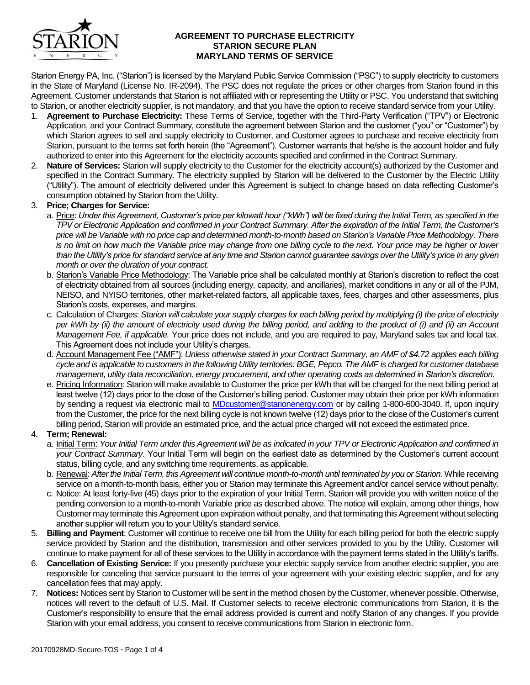

### **AGREEMENT TO PURCHASE ELECTRICITY STARION SECURE PLAN MARYLAND TERMS OF SERVICE**

Starion Energy PA, Inc. ("Starion") is licensed by the Maryland Public Service Commission ("PSC") to supply electricity to customers in the State of Maryland (License No. IR-2094). The PSC does not regulate the prices or other charges from Starion found in this Agreement. Customer understands that Starion is not affiliated with or representing the Utility or PSC. You understand that switching to Starion, or another electricity supplier, is not mandatory, and that you have the option to receive standard service from your Utility.

- 1. **Agreement to Purchase Electricity:** These Terms of Service, together with the Third-Party Verification ("TPV") or Electronic Application, and your Contract Summary, constitute the agreement between Starion and the customer ("you" or "Customer") by which Starion agrees to sell and supply electricity to Customer, and Customer agrees to purchase and receive electricity from Starion, pursuant to the terms set forth herein (the "Agreement"). Customer warrants that he/she is the account holder and fully authorized to enter into this Agreement for the electricity accounts specified and confirmed in the Contract Summary.
- 2. **Nature of Services:** Starion will supply electricity to the Customer for the electricity account(s) authorized by the Customer and specified in the Contract Summary. The electricity supplied by Starion will be delivered to the Customer by the Electric Utility ("Utility"). The amount of electricity delivered under this Agreement is subject to change based on data reflecting Customer's consumption obtained by Starion from the Utility.

## 3. **Price; Charges for Service:**

- a. Price: *Under this Agreement, Customer's price per kilowatt hour ("kWh") will be fixed during the Initial Term, as specified in the TPV or Electronic Application and confirmed in your Contract Summary. After the expiration of the Initial Term, the Customer's price will be Variable with no price cap and determined month-to-month based on Starion's Variable Price Methodology. There*  is no limit on how much the Variable price may change from one billing cycle to the next. Your price may be higher or lower *than the Utility's price for standard service at any time and Starion cannot guarantee savings over the Utility's price in any given month or over the duration of your contract.*
- b. Starion's Variable Price Methodology: The Variable price shall be calculated monthly at Starion's discretion to reflect the cost of electricity obtained from all sources (including energy, capacity, and ancillaries), market conditions in any or all of the PJM, NEISO, and NYISO territories, other market-related factors, all applicable taxes, fees, charges and other assessments, plus Starion's costs, expenses, and margins.
- c. Calculation of Charges: *Starion will calculate your supply charges for each billing period by multiplying (i) the price of electricity per kWh by (ii) the amount of electricity used during the billing period, and adding to the product of (i) and (ii) an Account Management Fee, if applicable.* Your price does not include, and you are required to pay, Maryland sales tax and local tax. This Agreement does not include your Utility's charges.
- d. Account Management Fee ("AMF"): *Unless otherwise stated in your Contract Summary, an AMF of \$4.72 applies each billing cycle and is applicable to customers in the following Utility territories: BGE, Pepco. The AMF is charged for customer database management, utility data reconciliation, energy procurement, and other operating costs as determined in Starion's discretion.*
- e. Pricing Information: Starion will make available to Customer the price per kWh that will be charged for the next billing period at least twelve (12) days prior to the close of the Customer's billing period. Customer may obtain their price per kWh information by sending a request via electronic mail to [MDcustomer@starionenergy.com](mailto:MDcustomer@starionenergy.com) or by calling 1-800-600-3040. If, upon inquiry from the Customer, the price for the next billing cycle is not known twelve (12) days prior to the close of the Customer's current billing period, Starion will provide an estimated price, and the actual price charged will not exceed the estimated price.

## 4. **Term; Renewal:**

- a. Initial Term: *Your Initial Term under this Agreement will be as indicated in your TPV or Electronic Application and confirmed in your Contract Summary*. Your Initial Term will begin on the earliest date as determined by the Customer's current account status, billing cycle, and any switching time requirements, as applicable.
- b. Renewal: After the Initial Term, this Agreement will continue month-to-month until terminated by you or Starion. While receiving service on a month-to-month basis, either you or Starion may terminate this Agreement and/or cancel service without penalty.
- c. Notice: At least forty-five (45) days prior to the expiration of your Initial Term, Starion will provide you with written notice of the pending conversion to a month-to-month Variable price as described above. The notice will explain, among other things, how Customer may terminate this Agreement upon expiration without penalty, and that terminating this Agreement without selecting another supplier will return you to your Utility's standard service.
- 5. **Billing and Payment**: Customer will continue to receive one bill from the Utility for each billing period for both the electric supply service provided by Starion and the distribution, transmission and other services provided to you by the Utility. Customer will continue to make payment for all of these services to the Utility in accordance with the payment terms stated in the Utility's tariffs.
- 6. **Cancellation of Existing Service:** If you presently purchase your electric supply service from another electric supplier, you are responsible for canceling that service pursuant to the terms of your agreement with your existing electric supplier, and for any cancellation fees that may apply.
- 7. **Notices:** Notices sent by Starion to Customer will be sent in the method chosen by the Customer, whenever possible. Otherwise, notices will revert to the default of U.S. Mail. If Customer selects to receive electronic communications from Starion, it is the Customer's responsibility to ensure that the email address provided is current and notify Starion of any changes. If you provide Starion with your email address, you consent to receive communications from Starion in electronic form.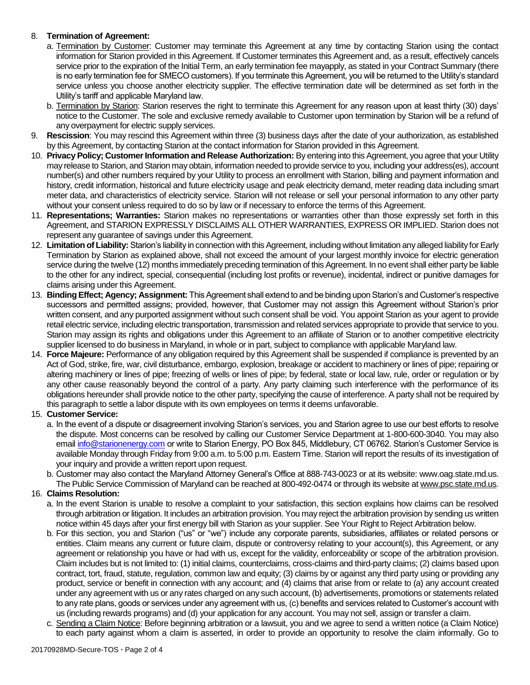# 8. **Termination of Agreement:**

- a. Termination by Customer: Customer may terminate this Agreement at any time by contacting Starion using the contact information for Starion provided in this Agreement. If Customer terminates this Agreement and, as a result, effectively cancels service prior to the expiration of the Initial Term, an early termination fee mayapply, as stated in your Contract Summary (there is no early termination fee for SMECO customers). If you terminate this Agreement, you will be returned to the Utility's standard service unless you choose another electricity supplier. The effective termination date will be determined as set forth in the Utility's tariff and applicable Maryland law.
- b. Termination by Starion: Starion reserves the right to terminate this Agreement for any reason upon at least thirty (30) days' notice to the Customer. The sole and exclusive remedy available to Customer upon termination by Starion will be a refund of any overpayment for electric supply services.
- 9. **Rescission**: You may rescind this Agreement within three (3) business days after the date of your authorization, as established by this Agreement, by contacting Starion at the contact information for Starion provided in this Agreement.
- 10. **Privacy Policy; Customer Information and Release Authorization:** By entering into this Agreement, you agree that your Utility may release to Starion, and Starion may obtain, information needed to provide service to you, including your address(es), account number(s) and other numbers required by your Utility to process an enrollment with Starion, billing and payment information and history, credit information, historical and future electricity usage and peak electricity demand, meter reading data including smart meter data, and characteristics of electricity service. Starion will not release or sell your personal information to any other party without your consent unless required to do so by law or if necessary to enforce the terms of this Agreement.
- 11. **Representations; Warranties:** Starion makes no representations or warranties other than those expressly set forth in this Agreement, and STARION EXPRESSLY DISCLAIMS ALL OTHER WARRANTIES, EXPRESS OR IMPLIED. Starion does not represent any guarantee of savings under this Agreement.
- 12. **Limitation of Liability:** Starion's liability in connection with this Agreement, including without limitation any alleged liability for Early Termination by Starion as explained above, shall not exceed the amount of your largest monthly invoice for electric generation service during the twelve (12) months immediately preceding termination of this Agreement. In no event shall either party be liable to the other for any indirect, special, consequential (including lost profits or revenue), incidental, indirect or punitive damages for claims arising under this Agreement.
- 13. **Binding Effect; Agency; Assignment:** This Agreement shall extend to and be binding upon Starion's and Customer's respective successors and permitted assigns; provided, however, that Customer may not assign this Agreement without Starion's prior written consent, and any purported assignment without such consent shall be void. You appoint Starion as your agent to provide retail electric service, including electric transportation, transmission and related services appropriate to provide that service to you. Starion may assign its rights and obligations under this Agreement to an affiliate of Starion or to another competitive electricity supplier licensed to do business in Maryland, in whole or in part, subject to compliance with applicable Maryland law.
- 14. **Force Majeure:** Performance of any obligation required by this Agreement shall be suspended if compliance is prevented by an Act of God, strike, fire, war, civil disturbance, embargo, explosion, breakage or accident to machinery or lines of pipe; repairing or altering machinery or lines of pipe; freezing of wells or lines of pipe; by federal, state or local law, rule, order or regulation or by any other cause reasonably beyond the control of a party. Any party claiming such interference with the performance of its obligations hereunder shall provide notice to the other party, specifying the cause of interference. A party shall not be required by this paragraph to settle a labor dispute with its own employees on terms it deems unfavorable.

## 15. **Customer Service:**

- a. In the event of a dispute or disagreement involving Starion's services, you and Starion agree to use our best efforts to resolve the dispute. Most concerns can be resolved by calling our Customer Service Department at 1-800-600-3040. You may also emai[l info@starionenergy.com](mailto:info@starionenergy.com) or write to Starion Energy, PO Box 845, Middlebury, CT 06762. Starion's Customer Service is available Monday through Friday from 9:00 a.m. to 5:00 p.m. Eastern Time. Starion will report the results of its investigation of your inquiry and provide a written report upon request.
- b. Customer may also contact the Maryland Attorney General's Office at 888-743-0023 or at its website: www.oag.state.md.us. The Public Service Commission of Maryland can be reached at 800-492-0474 or through its website at www.psc.state.md.us.

## 16. **Claims Resolution:**

- a. In the event Starion is unable to resolve a complaint to your satisfaction, this section explains how claims can be resolved through arbitration or litigation. It includes an arbitration provision. You may reject the arbitration provision by sending us written notice within 45 days after your first energy bill with Starion as your supplier. See Your Right to Reject Arbitration below.
- b. For this section, you and Starion ("us" or "we") include any corporate parents, subsidiaries, affiliates or related persons or entities. Claim means any current or future claim, dispute or controversy relating to your account(s), this Agreement, or any agreement or relationship you have or had with us, except for the validity, enforceability or scope of the arbitration provision. Claim includes but is not limited to: (1) initial claims, counterclaims, cross-claims and third-party claims; (2) claims based upon contract, tort, fraud, statute, regulation, common law and equity; (3) claims by or against any third party using or providing any product, service or benefit in connection with any account; and (4) claims that arise from or relate to (a) any account created under any agreement with us or any rates charged on any such account, (b) advertisements, promotions or statements related to any rate plans, goods or services under any agreement with us, (c) benefits and services related to Customer's account with us (including rewards programs) and (d) your application for any account. You may not sell, assign or transfer a claim.
- c. Sending a Claim Notice: Before beginning arbitration or a lawsuit, you and we agree to send a written notice (a Claim Notice) to each party against whom a claim is asserted, in order to provide an opportunity to resolve the claim informally. Go to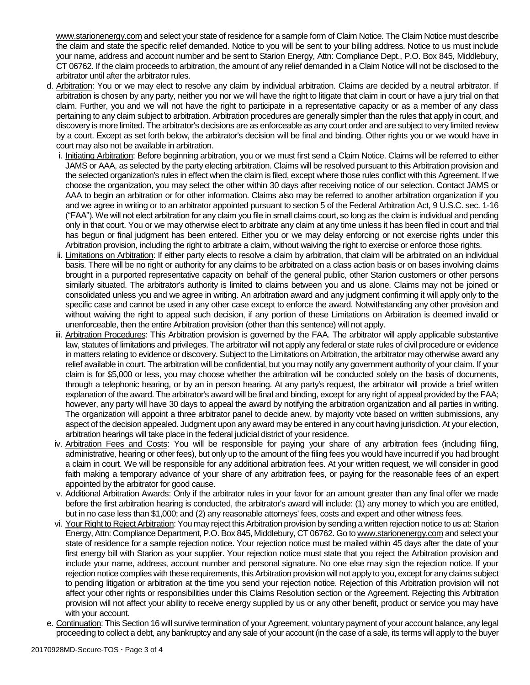www.starionenergy.com and select your state of residence for a sample form of Claim Notice. The Claim Notice must describe the claim and state the specific relief demanded. Notice to you will be sent to your billing address. Notice to us must include your name, address and account number and be sent to Starion Energy, Attn: Compliance Dept., P.O. Box 845, Middlebury, CT 06762. If the claim proceeds to arbitration, the amount of any relief demanded in a Claim Notice will not be disclosed to the arbitrator until after the arbitrator rules.

- d. Arbitration: You or we may elect to resolve any claim by individual arbitration. Claims are decided by a neutral arbitrator. If arbitration is chosen by any party, neither you nor we will have the right to litigate that claim in court or have a jury trial on that claim. Further, you and we will not have the right to participate in a representative capacity or as a member of any class pertaining to any claim subject to arbitration. Arbitration procedures are generally simpler than the rules that apply in court, and discovery is more limited. The arbitrator's decisions are as enforceable as any court order and are subject to very limited review by a court. Except as set forth below, the arbitrator's decision will be final and binding. Other rights you or we would have in court may also not be available in arbitration.
	- i. Initiating Arbitration: Before beginning arbitration, you or we must first send a Claim Notice. Claims will be referred to either JAMS or AAA, as selected by the party electing arbitration. Claims will be resolved pursuant to this Arbitration provision and the selected organization's rules in effect when the claim is filed, except where those rules conflict with this Agreement. If we choose the organization, you may select the other within 30 days after receiving notice of our selection. Contact JAMS or AAA to begin an arbitration or for other information. Claims also may be referred to another arbitration organization if you and we agree in writing or to an arbitrator appointed pursuant to section 5 of the Federal Arbitration Act, 9 U.S.C. sec. 1-16 ("FAA"). We will not elect arbitration for any claim you file in small claims court, so long as the claim is individual and pending only in that court. You or we may otherwise elect to arbitrate any claim at any time unless it has been filed in court and trial has begun or final judgment has been entered. Either you or we may delay enforcing or not exercise rights under this Arbitration provision, including the right to arbitrate a claim, without waiving the right to exercise or enforce those rights.
	- ii. Limitations on Arbitration: If either party elects to resolve a claim by arbitration, that claim will be arbitrated on an individual basis. There will be no right or authority for any claims to be arbitrated on a class action basis or on bases involving claims brought in a purported representative capacity on behalf of the general public, other Starion customers or other persons similarly situated. The arbitrator's authority is limited to claims between you and us alone. Claims may not be joined or consolidated unless you and we agree in writing. An arbitration award and any judgment confirming it will apply only to the specific case and cannot be used in any other case except to enforce the award. Notwithstanding any other provision and without waiving the right to appeal such decision, if any portion of these Limitations on Arbitration is deemed invalid or unenforceable, then the entire Arbitration provision (other than this sentence) will not apply.
	- iii. Arbitration Procedures: This Arbitration provision is governed by the FAA. The arbitrator will apply applicable substantive law, statutes of limitations and privileges. The arbitrator will not apply any federal or state rules of civil procedure or evidence in matters relating to evidence or discovery. Subject to the Limitations on Arbitration, the arbitrator may otherwise award any relief available in court. The arbitration will be confidential, but you may notify any government authority of your claim. If your claim is for \$5,000 or less, you may choose whether the arbitration will be conducted solely on the basis of documents, through a telephonic hearing, or by an in person hearing. At any party's request, the arbitrator will provide a brief written explanation of the award. The arbitrator's award will be final and binding, except for any right of appeal provided by the FAA; however, any party will have 30 days to appeal the award by notifying the arbitration organization and all parties in writing. The organization will appoint a three arbitrator panel to decide anew, by majority vote based on written submissions, any aspect of the decision appealed. Judgment upon any award may be entered in any court having jurisdiction. At your election, arbitration hearings will take place in the federal judicial district of your residence.
	- iv. Arbitration Fees and Costs: You will be responsible for paying your share of any arbitration fees (including filing, administrative, hearing or other fees), but only up to the amount of the filing fees you would have incurred if you had brought a claim in court. We will be responsible for any additional arbitration fees. At your written request, we will consider in good faith making a temporary advance of your share of any arbitration fees, or paying for the reasonable fees of an expert appointed by the arbitrator for good cause.
	- v. Additional Arbitration Awards: Only if the arbitrator rules in your favor for an amount greater than any final offer we made before the first arbitration hearing is conducted, the arbitrator's award will include: (1) any money to which you are entitled, but in no case less than \$1,000; and (2) any reasonable attorneys' fees, costs and expert and other witness fees.
	- vi. Your Right to Reject Arbitration: You may reject this Arbitration provision by sending a written rejection notice to us at: Starion Energy, Attn: Compliance Department, P.O. Box 845, Middlebury, CT 06762. Go to www.starionenergy.com and select your state of residence for a sample rejection notice. Your rejection notice must be mailed within 45 days after the date of your first energy bill with Starion as your supplier. Your rejection notice must state that you reject the Arbitration provision and include your name, address, account number and personal signature. No one else may sign the rejection notice. If your rejection notice complies with these requirements, this Arbitration provision will not apply to you, except for any claims subject to pending litigation or arbitration at the time you send your rejection notice. Rejection of this Arbitration provision will not affect your other rights or responsibilities under this Claims Resolution section or the Agreement. Rejecting this Arbitration provision will not affect your ability to receive energy supplied by us or any other benefit, product or service you may have with your account.
- e. Continuation: This Section 16 will survive termination of your Agreement, voluntary payment of your account balance, any legal proceeding to collect a debt, any bankruptcy and any sale of your account (in the case of a sale, its terms will apply to the buyer